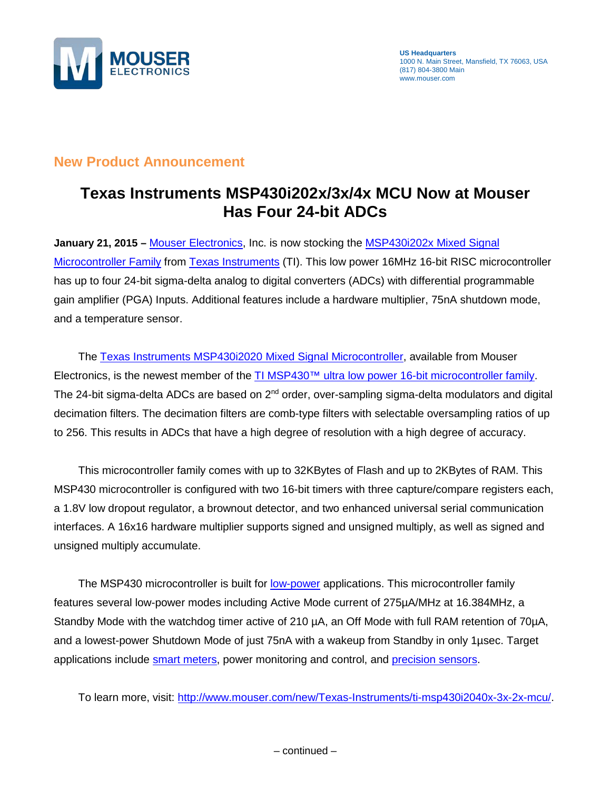

## **New Product Announcement**

## **Texas Instruments MSP430i202x/3x/4x MCU Now at Mouser Has Four 24-bit ADCs**

**January 21, 2015 –** [Mouser Electronics,](http://www.mouser.com/?cm_mmc=PressRelease-PR-_-TI-_-MSP430i20xx-_-2015-01-21) Inc. is now stocking the [MSP430i202x](http://www.mouser.com/new/Texas-Instruments/ti-msp430i2040x-3x-2x-mcu/?cm_mmc=PressRelease-PR-_-TI-_-MSP430i20xx-_-2015-01-21) Mixed Signal [Microcontroller Family](http://www.mouser.com/new/Texas-Instruments/ti-msp430i2040x-3x-2x-mcu/?cm_mmc=PressRelease-PR-_-TI-_-MSP430i20xx-_-2015-01-21) from [Texas Instruments](http://www.mouser.com/Texas-Instruments/?cm_mmc=PressRelease-PR-_-TI-_-MSP430i20xx-_-2015-01-21) (TI). This low power 16MHz 16-bit RISC microcontroller has up to four 24-bit sigma-delta analog to digital converters (ADCs) with differential programmable gain amplifier (PGA) Inputs. Additional features include a hardware multiplier, 75nA shutdown mode, and a temperature sensor.

 The Texas [Instruments MSP430i2020 Mixed Signal Microcontroller,](http://www.mouser.com/new/Texas-Instruments/ti-msp430i2040x-3x-2x-mcu/?cm_mmc=PressRelease-PR-_-TI-_-MSP430i20xx-_-2015-01-21) available from Mouser Electronics, is the newest member of the [TI MSP430™ ultra low power 16-bit microcontroller family.](http://www.mouser.com/new/Texas-Instruments/ti-msp430-mcus/?cm_mmc=PressRelease-PR-_-TI-_-MSP430i20xx-_-2015-01-21) The 24-bit sigma-delta ADCs are based on 2<sup>nd</sup> order, over-sampling sigma-delta modulators and digital decimation filters. The decimation filters are comb-type filters with selectable oversampling ratios of up to 256. This results in ADCs that have a high degree of resolution with a high degree of accuracy.

 This microcontroller family comes with up to 32KBytes of Flash and up to 2KBytes of RAM. This MSP430 microcontroller is configured with two 16-bit timers with three capture/compare registers each, a 1.8V low dropout regulator, a brownout detector, and two enhanced universal serial communication interfaces. A 16x16 hardware multiplier supports signed and unsigned multiply, as well as signed and unsigned multiply accumulate.

The MSP430 microcontroller is built for [low-power](http://www.mouser.com/applications/low_power?cm_mmc=PressRelease-PR-_-TI-_-MSP430i20xx-_-2015-01-21) applications. This microcontroller family features several low-power modes including Active Mode current of 275µA/MHz at 16.384MHz, a Standby Mode with the watchdog timer active of 210  $\mu$ A, an Off Mode with full RAM retention of 70 $\mu$ A, and a lowest-power Shutdown Mode of just 75nA with a wakeup from Standby in only 1µsec. Target applications include [smart meters,](http://www.mouser.com/applications/smart-grid-meter/?cm_mmc=PressRelease-PR-_-TI-_-MSP430i20xx-_-2015-01-21) power monitoring and control, and [precision sensors.](http://www.mouser.com/applications/sensor_technology/?cm_mmc=PressRelease-PR-_-TI-_-MSP430i20xx-_-2015-01-21)

To learn more, visit: [http://www.mouser.com/new/Texas-Instruments/ti-msp430i2040x-3x-2x-mcu/.](http://www.mouser.com/new/Texas-Instruments/ti-msp430i2040x-3x-2x-mcu/?cm_mmc=PressRelease-PR-_-TI-_-MSP430i20xx-_-2015-01-21)